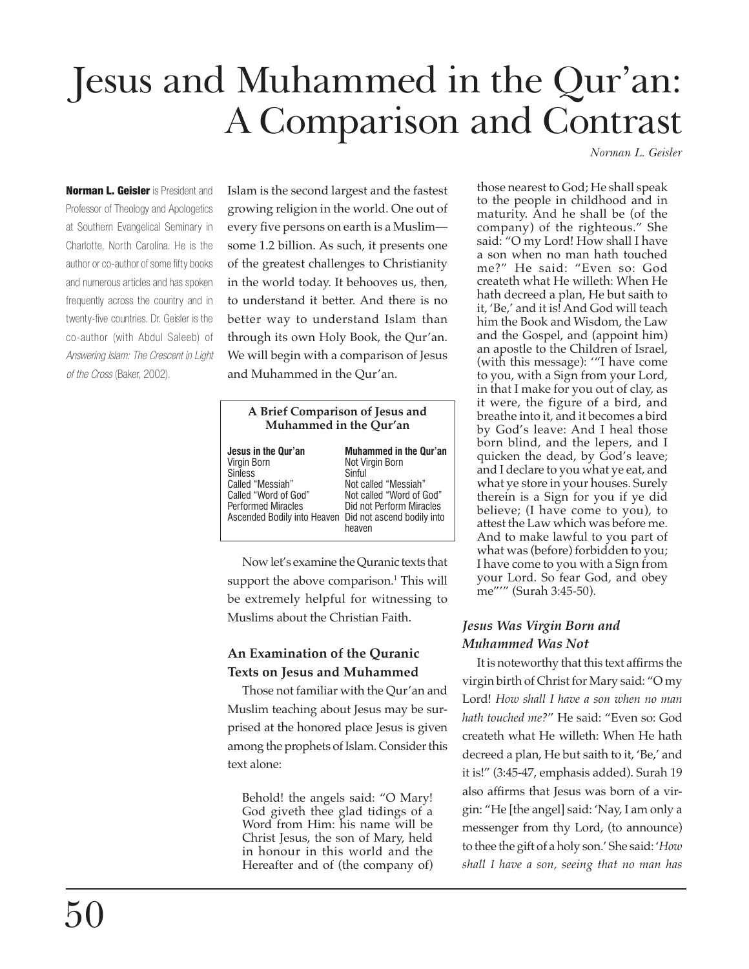# Jesus and Muhammed in the Qur'an: A Comparison and Contrast

*Norman L. Geisler*

**Norman L. Geisler** is President and Professor of Theology and Apologetics at Southern Evangelical Seminary in Charlotte, North Carolina. He is the author or co-author of some fifty books and numerous articles and has spoken frequently across the country and in twenty-five countries. Dr. Geisler is the co-author (with Abdul Saleeb) of *Answering Islam: The Crescent in Light of the Cross* (Baker, 2002).

Islam is the second largest and the fastest growing religion in the world. One out of every five persons on earth is a Muslim some 1.2 billion. As such, it presents one of the greatest challenges to Christianity in the world today. It behooves us, then, to understand it better. And there is no better way to understand Islam than through its own Holy Book, the Qur'an. We will begin with a comparison of Jesus and Muhammed in the Qur'an.

| A Brief Comparison of Jesus and<br>Muhammed in the Qur'an                                                                                                                               |                                                                                                                                                      |
|-----------------------------------------------------------------------------------------------------------------------------------------------------------------------------------------|------------------------------------------------------------------------------------------------------------------------------------------------------|
| Jesus in the Qur'an<br>Virgin Born<br><b>Sinless</b><br>Called "Messiah"<br>Called "Word of God"<br><b>Performed Miracles</b><br>Ascended Bodily into Heaven Did not ascend bodily into | <b>Muhammed in the Qur'an</b><br>Not Virgin Born<br>Sinful<br>Not called "Messiah"<br>Not called "Word of God"<br>Did not Perform Miracles<br>heaven |

Now let's examine the Quranic texts that support the above comparison.<sup>1</sup> This will be extremely helpful for witnessing to Muslims about the Christian Faith.

# **An Examination of the Quranic Texts on Jesus and Muhammed**

Those not familiar with the Qur'an and Muslim teaching about Jesus may be surprised at the honored place Jesus is given among the prophets of Islam. Consider this text alone:

Behold! the angels said: "O Mary! God giveth thee glad tidings of a Word from Him: his name will be Christ Jesus, the son of Mary, held in honour in this world and the Hereafter and of (the company of)

those nearest to God; He shall speak to the people in childhood and in maturity. And he shall be (of the company) of the righteous." She said: "O my Lord! How shall I have a son when no man hath touched me?" He said: "Even so: God createth what He willeth: When He hath decreed a plan, He but saith to it, 'Be,' and it is! And God will teach him the Book and Wisdom, the Law and the Gospel, and (appoint him) an apostle to the Children of Israel, (with this message): '"I have come to you, with a Sign from your Lord, in that I make for you out of clay, as it were, the figure of a bird, and breathe into it, and it becomes a bird by God's leave: And I heal those born blind, and the lepers, and I quicken the dead, by God's leave; and I declare to you what ye eat, and what ye store in your houses. Surely therein is a Sign for you if ye did believe; (I have come to you), to attest the Law which was before me. And to make lawful to you part of what was (before) forbidden to you; I have come to you with a Sign from your Lord. So fear God, and obey me"'" (Surah 3:45-50).

# *Jesus Was Virgin Born and Muhammed Was Not*

It is noteworthy that this text affirms the virgin birth of Christ for Mary said: "O my Lord! *How shall I have a son when no man hath touched me?*" He said: "Even so: God createth what He willeth: When He hath decreed a plan, He but saith to it, 'Be,' and it is!" (3:45-47, emphasis added). Surah 19 also affirms that Jesus was born of a virgin: "He [the angel] said: 'Nay, I am only a messenger from thy Lord, (to announce) to thee the gift of a holy son.' She said: '*How shall I have a son, seeing that no man has*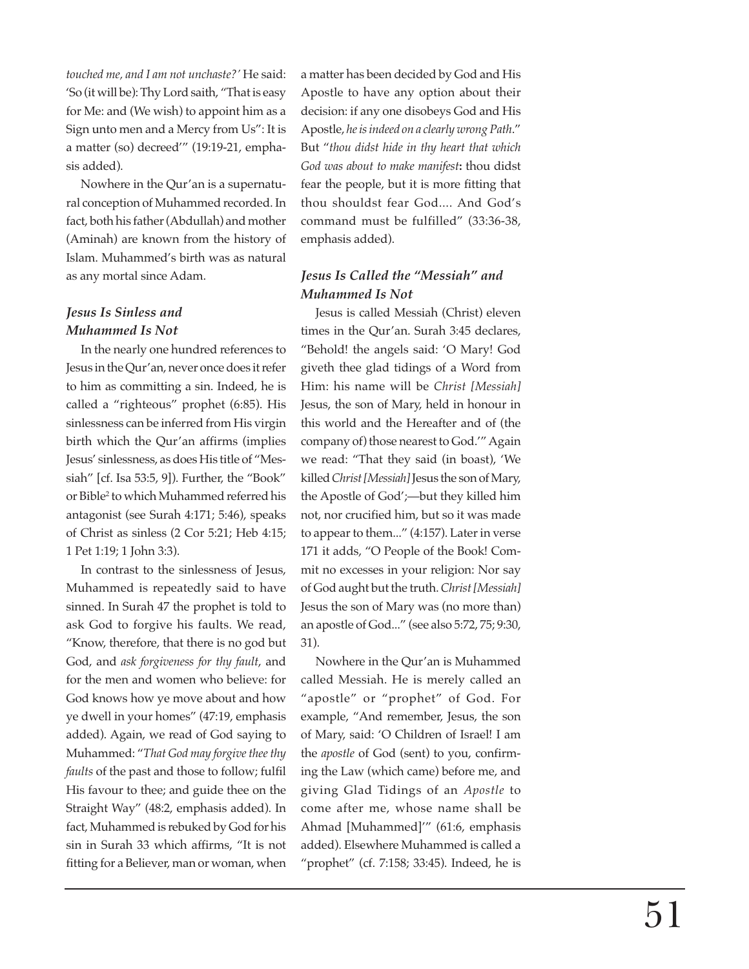*touched me, and I am not unchaste?'* He said: 'So (it will be): Thy Lord saith, "That is easy for Me: and (We wish) to appoint him as a Sign unto men and a Mercy from Us": It is a matter (so) decreed'" (19:19-21, emphasis added).

Nowhere in the Qur'an is a supernatural conception of Muhammed recorded. In fact, both his father (Abdullah) and mother (Aminah) are known from the history of Islam. Muhammed's birth was as natural as any mortal since Adam.

## *Jesus Is Sinless and Muhammed Is Not*

In the nearly one hundred references to Jesus in the Qur'an, never once does it refer to him as committing a sin. Indeed, he is called a "righteous" prophet (6:85). His sinlessness can be inferred from His virgin birth which the Qur'an affirms (implies Jesus' sinlessness, as does His title of "Messiah" [cf. Isa 53:5, 9]). Further, the "Book" or Bible2 to which Muhammed referred his antagonist (see Surah 4:171; 5:46), speaks of Christ as sinless (2 Cor 5:21; Heb 4:15; 1 Pet 1:19; 1 John 3:3).

In contrast to the sinlessness of Jesus, Muhammed is repeatedly said to have sinned. In Surah 47 the prophet is told to ask God to forgive his faults. We read, "Know, therefore, that there is no god but God, and *ask forgiveness for thy fault*, and for the men and women who believe: for God knows how ye move about and how ye dwell in your homes" (47:19, emphasis added). Again, we read of God saying to Muhammed: "*That God may forgive thee thy faults* of the past and those to follow; fulfil His favour to thee; and guide thee on the Straight Way" (48:2, emphasis added). In fact, Muhammed is rebuked by God for his sin in Surah 33 which affirms, "It is not fitting for a Believer, man or woman, when

a matter has been decided by God and His Apostle to have any option about their decision: if any one disobeys God and His Apostle, *he is indeed on a clearly wrong Path*." But "*thou didst hide in thy heart that which God was about to make manifest***:** thou didst fear the people, but it is more fitting that thou shouldst fear God.... And God's command must be fulfilled" (33:36-38, emphasis added).

# *Jesus Is Called the "Messiah" and Muhammed Is Not*

Jesus is called Messiah (Christ) eleven times in the Qur'an. Surah 3:45 declares, "Behold! the angels said: 'O Mary! God giveth thee glad tidings of a Word from Him: his name will be *Christ [Messiah]* Jesus, the son of Mary, held in honour in this world and the Hereafter and of (the company of) those nearest to God.'" Again we read: "That they said (in boast), 'We killed *Christ [Messiah]* Jesus the son of Mary, the Apostle of God';—but they killed him not, nor crucified him, but so it was made to appear to them..." (4:157). Later in verse 171 it adds, "O People of the Book! Commit no excesses in your religion: Nor say of God aught but the truth. *Christ [Messiah]* Jesus the son of Mary was (no more than) an apostle of God..." (see also 5:72, 75; 9:30, 31).

Nowhere in the Qur'an is Muhammed called Messiah. He is merely called an "apostle" or "prophet" of God. For example, "And remember, Jesus, the son of Mary, said: 'O Children of Israel! I am the *apostle* of God (sent) to you, confirming the Law (which came) before me, and giving Glad Tidings of an *Apostle* to come after me, whose name shall be Ahmad [Muhammed]'" (61:6, emphasis added). Elsewhere Muhammed is called a "prophet" (cf. 7:158; 33:45). Indeed, he is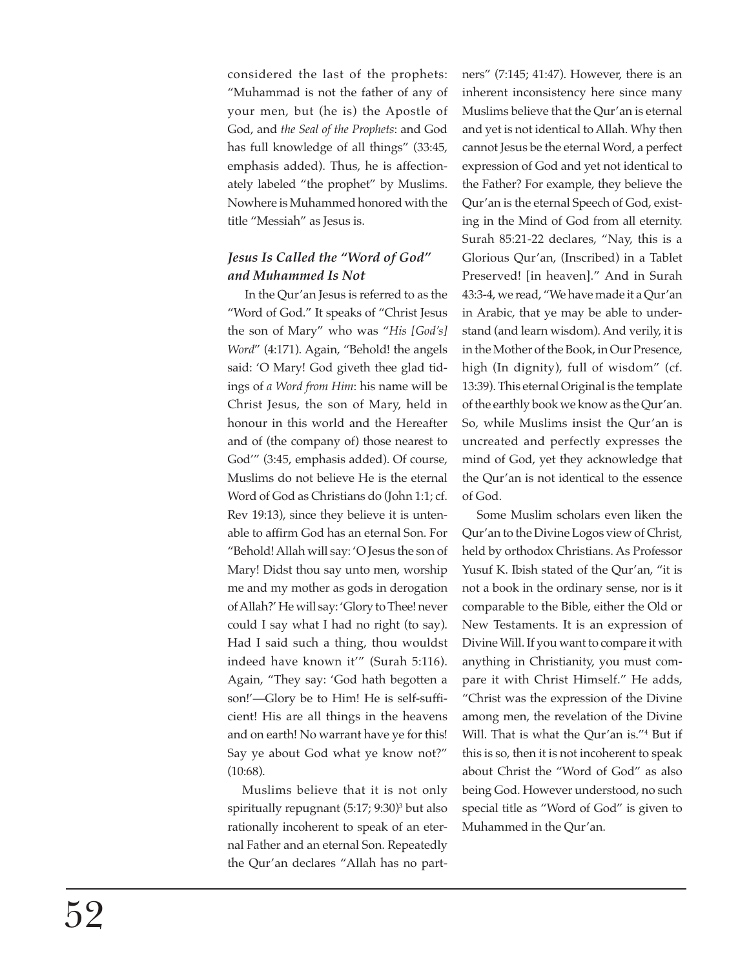considered the last of the prophets: "Muhammad is not the father of any of your men, but (he is) the Apostle of God, and *the Seal of the Prophets*: and God has full knowledge of all things" (33:45, emphasis added). Thus, he is affectionately labeled "the prophet" by Muslims. Nowhere is Muhammed honored with the title "Messiah" as Jesus is.

# *Jesus Is Called the "Word of God" and Muhammed Is Not*

 In the Qur'an Jesus is referred to as the "Word of God." It speaks of "Christ Jesus the son of Mary" who was "*His [God's] Word*" (4:171). Again, "Behold! the angels said: 'O Mary! God giveth thee glad tidings of *a Word from Him*: his name will be Christ Jesus, the son of Mary, held in honour in this world and the Hereafter and of (the company of) those nearest to God'" (3:45, emphasis added). Of course, Muslims do not believe He is the eternal Word of God as Christians do (John 1:1; cf. Rev 19:13), since they believe it is untenable to affirm God has an eternal Son. For "Behold! Allah will say: 'O Jesus the son of Mary! Didst thou say unto men, worship me and my mother as gods in derogation of Allah?' He will say: 'Glory to Thee! never could I say what I had no right (to say). Had I said such a thing, thou wouldst indeed have known it'" (Surah 5:116). Again, "They say: 'God hath begotten a son!'—Glory be to Him! He is self-sufficient! His are all things in the heavens and on earth! No warrant have ye for this! Say ye about God what ye know not?" (10:68).

Muslims believe that it is not only spiritually repugnant (5:17; 9:30)3 but also rationally incoherent to speak of an eternal Father and an eternal Son. Repeatedly the Qur'an declares "Allah has no partners" (7:145; 41:47). However, there is an inherent inconsistency here since many Muslims believe that the Qur'an is eternal and yet is not identical to Allah. Why then cannot Jesus be the eternal Word, a perfect expression of God and yet not identical to the Father? For example, they believe the Qur'an is the eternal Speech of God, existing in the Mind of God from all eternity. Surah 85:21-22 declares, "Nay, this is a Glorious Qur'an, (Inscribed) in a Tablet Preserved! [in heaven]." And in Surah 43:3-4, we read, "We have made it a Qur'an in Arabic, that ye may be able to understand (and learn wisdom). And verily, it is in the Mother of the Book, in Our Presence, high (In dignity), full of wisdom" (cf. 13:39). This eternal Original is the template of the earthly book we know as the Qur'an. So, while Muslims insist the Qur'an is uncreated and perfectly expresses the mind of God, yet they acknowledge that the Qur'an is not identical to the essence of God.

Some Muslim scholars even liken the Qur'an to the Divine Logos view of Christ, held by orthodox Christians. As Professor Yusuf K. Ibish stated of the Qur'an, "it is not a book in the ordinary sense, nor is it comparable to the Bible, either the Old or New Testaments. It is an expression of Divine Will. If you want to compare it with anything in Christianity, you must compare it with Christ Himself." He adds, "Christ was the expression of the Divine among men, the revelation of the Divine Will. That is what the Qur'an is."4 But if this is so, then it is not incoherent to speak about Christ the "Word of God" as also being God. However understood, no such special title as "Word of God" is given to Muhammed in the Qur'an.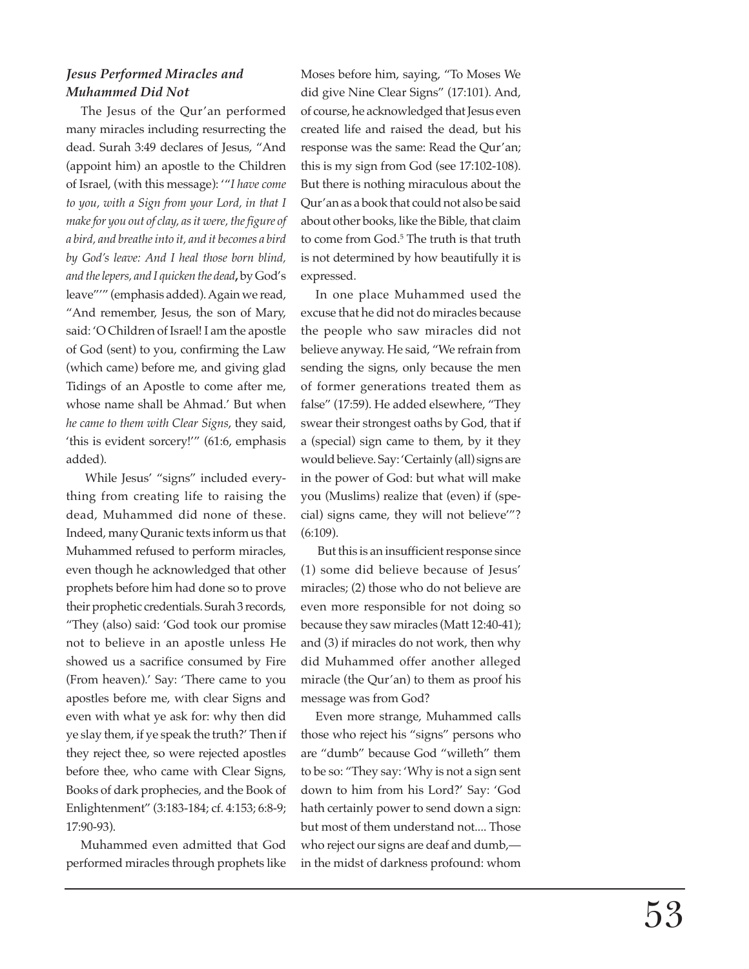## *Jesus Performed Miracles and Muhammed Did Not*

The Jesus of the Qur'an performed many miracles including resurrecting the dead. Surah 3:49 declares of Jesus, "And (appoint him) an apostle to the Children of Israel, (with this message): '"*I have come to you, with a Sign from your Lord, in that I make for you out of clay, as it were, the figure of a bird, and breathe into it, and it becomes a bird by God's leave: And I heal those born blind, and the lepers, and I quicken the dead***,** by God's leave"'" (emphasis added). Again we read, "And remember, Jesus, the son of Mary, said: 'O Children of Israel! I am the apostle of God (sent) to you, confirming the Law (which came) before me, and giving glad Tidings of an Apostle to come after me, whose name shall be Ahmad.' But when *he came to them with Clear Signs*, they said, 'this is evident sorcery!'" (61:6, emphasis added).

 While Jesus' "signs" included everything from creating life to raising the dead, Muhammed did none of these. Indeed, many Quranic texts inform us that Muhammed refused to perform miracles, even though he acknowledged that other prophets before him had done so to prove their prophetic credentials. Surah 3 records, "They (also) said: 'God took our promise not to believe in an apostle unless He showed us a sacrifice consumed by Fire (From heaven).' Say: 'There came to you apostles before me, with clear Signs and even with what ye ask for: why then did ye slay them, if ye speak the truth?' Then if they reject thee, so were rejected apostles before thee, who came with Clear Signs, Books of dark prophecies, and the Book of Enlightenment" (3:183-184; cf. 4:153; 6:8-9; 17:90-93).

Muhammed even admitted that God performed miracles through prophets like

Moses before him, saying, "To Moses We did give Nine Clear Signs" (17:101). And, of course, he acknowledged that Jesus even created life and raised the dead, but his response was the same: Read the Qur'an; this is my sign from God (see 17:102-108). But there is nothing miraculous about the Qur'an as a book that could not also be said about other books, like the Bible, that claim to come from God.5 The truth is that truth is not determined by how beautifully it is expressed.

In one place Muhammed used the excuse that he did not do miracles because the people who saw miracles did not believe anyway. He said, "We refrain from sending the signs, only because the men of former generations treated them as false" (17:59). He added elsewhere, "They swear their strongest oaths by God, that if a (special) sign came to them, by it they would believe. Say: 'Certainly (all) signs are in the power of God: but what will make you (Muslims) realize that (even) if (special) signs came, they will not believe'"? (6:109).

 But this is an insufficient response since (1) some did believe because of Jesus' miracles; (2) those who do not believe are even more responsible for not doing so because they saw miracles (Matt 12:40-41); and (3) if miracles do not work, then why did Muhammed offer another alleged miracle (the Qur'an) to them as proof his message was from God?

Even more strange, Muhammed calls those who reject his "signs" persons who are "dumb" because God "willeth" them to be so: "They say: 'Why is not a sign sent down to him from his Lord?' Say: 'God hath certainly power to send down a sign: but most of them understand not.... Those who reject our signs are deaf and dumb, in the midst of darkness profound: whom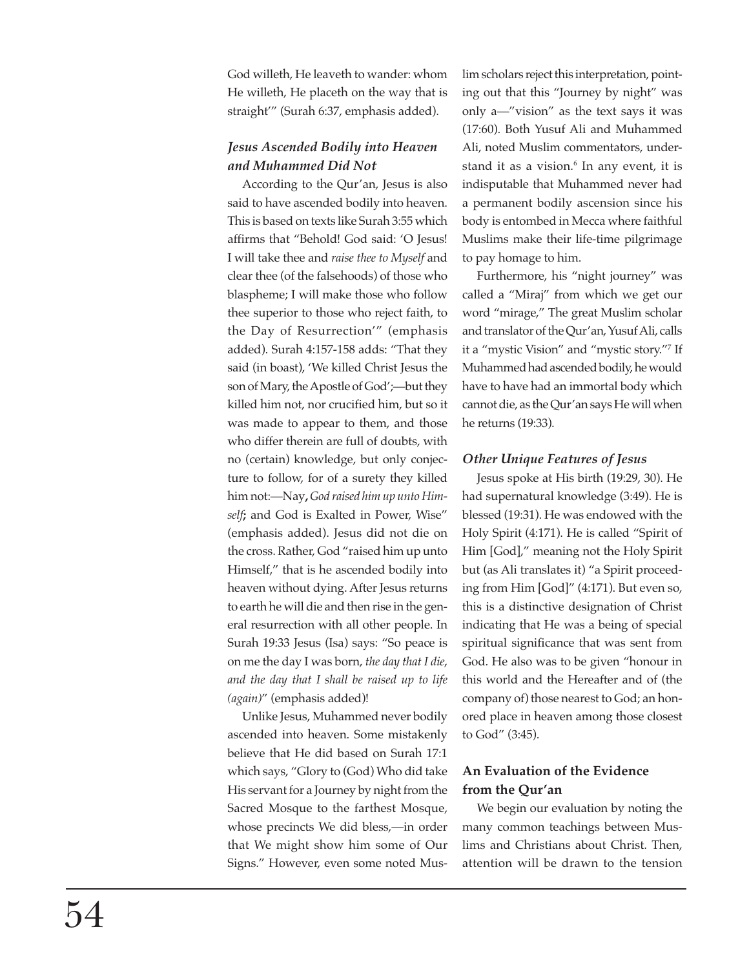God willeth, He leaveth to wander: whom He willeth, He placeth on the way that is straight'" (Surah 6:37, emphasis added).

# *Jesus Ascended Bodily into Heaven and Muhammed Did Not*

According to the Qur'an, Jesus is also said to have ascended bodily into heaven. This is based on texts like Surah 3:55 which affirms that "Behold! God said: 'O Jesus! I will take thee and *raise thee to Myself* and clear thee (of the falsehoods) of those who blaspheme; I will make those who follow thee superior to those who reject faith, to the Day of Resurrection'" (emphasis added). Surah 4:157-158 adds: "That they said (in boast), 'We killed Christ Jesus the son of Mary, the Apostle of God';—but they killed him not, nor crucified him, but so it was made to appear to them, and those who differ therein are full of doubts, with no (certain) knowledge, but only conjecture to follow, for of a surety they killed him not:—Nay**,** *God raised him up unto Himself***;** and God is Exalted in Power, Wise" (emphasis added). Jesus did not die on the cross. Rather, God "raised him up unto Himself," that is he ascended bodily into heaven without dying. After Jesus returns to earth he will die and then rise in the general resurrection with all other people. In Surah 19:33 Jesus (Isa) says: "So peace is on me the day I was born, *the day that I die*, *and the day that I shall be raised up to life (again)*" (emphasis added)!

Unlike Jesus, Muhammed never bodily ascended into heaven. Some mistakenly believe that He did based on Surah 17:1 which says, "Glory to (God) Who did take His servant for a Journey by night from the Sacred Mosque to the farthest Mosque, whose precincts We did bless,—in order that We might show him some of Our Signs." However, even some noted Muslim scholars reject this interpretation, pointing out that this "Journey by night" was only a—"vision" as the text says it was (17:60). Both Yusuf Ali and Muhammed Ali, noted Muslim commentators, understand it as a vision.<sup>6</sup> In any event, it is indisputable that Muhammed never had a permanent bodily ascension since his body is entombed in Mecca where faithful Muslims make their life-time pilgrimage to pay homage to him.

Furthermore, his "night journey" was called a "Miraj" from which we get our word "mirage," The great Muslim scholar and translator of the Qur'an, Yusuf Ali, calls it a "mystic Vision" and "mystic story."7 If Muhammed had ascended bodily, he would have to have had an immortal body which cannot die, as the Qur'an says He will when he returns (19:33).

## *Other Unique Features of Jesus*

Jesus spoke at His birth (19:29, 30). He had supernatural knowledge (3:49). He is blessed (19:31). He was endowed with the Holy Spirit (4:171). He is called "Spirit of Him [God]," meaning not the Holy Spirit but (as Ali translates it) "a Spirit proceeding from Him [God]" (4:171). But even so, this is a distinctive designation of Christ indicating that He was a being of special spiritual significance that was sent from God. He also was to be given "honour in this world and the Hereafter and of (the company of) those nearest to God; an honored place in heaven among those closest to God" (3:45).

# **An Evaluation of the Evidence from the Qur'an**

We begin our evaluation by noting the many common teachings between Muslims and Christians about Christ. Then, attention will be drawn to the tension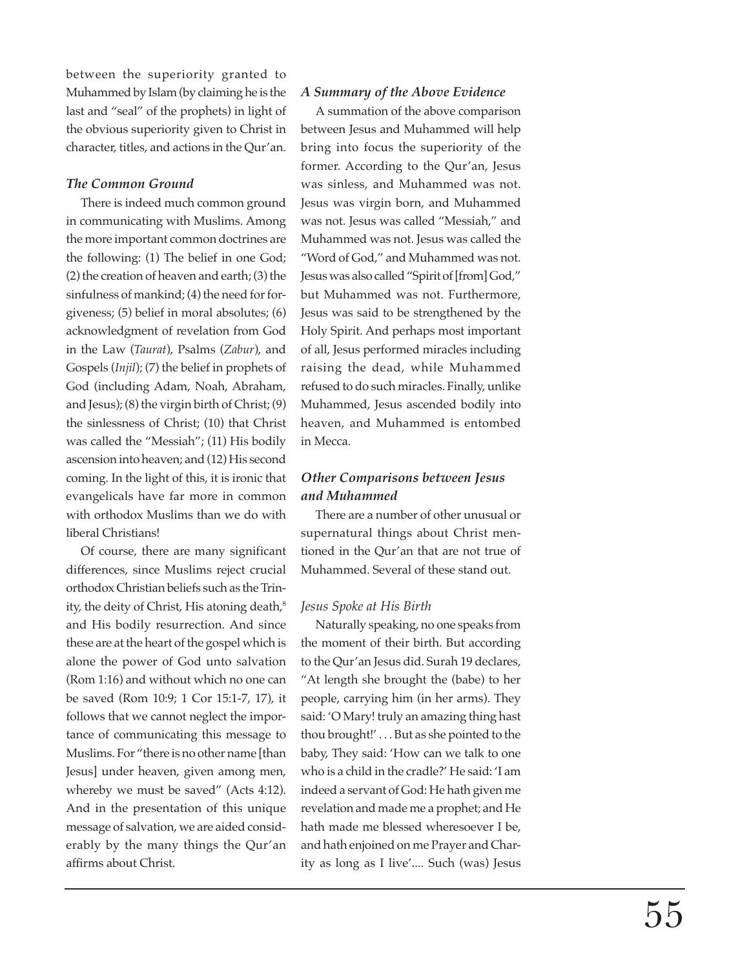between the superiority granted to Muhammed by Islam (by claiming he is the last and "seal" of the prophets) in light of the obvious superiority given to Christ in character, titles, and actions in the Qur'an.

#### *The Common Ground*

There is indeed much common ground in communicating with Muslims. Among the more important common doctrines are the following: (1) The belief in one God; (2) the creation of heaven and earth; (3) the sinfulness of mankind; (4) the need for forgiveness; (5) belief in moral absolutes; (6) acknowledgment of revelation from God in the Law (*Taurat*), Psalms (*Zabur*), and Gospels (*Injil*); (7) the belief in prophets of God (including Adam, Noah, Abraham, and Jesus); (8) the virgin birth of Christ; (9) the sinlessness of Christ; (10) that Christ was called the "Messiah"; (11) His bodily ascension into heaven; and (12) His second coming. In the light of this, it is ironic that evangelicals have far more in common with orthodox Muslims than we do with liberal Christians!

Of course, there are many significant differences, since Muslims reject crucial orthodox Christian beliefs such as the Trinity, the deity of Christ, His atoning death,<sup>8</sup> and His bodily resurrection. And since these are at the heart of the gospel which is alone the power of God unto salvation (Rom 1:16) and without which no one can be saved (Rom 10:9; 1 Cor 15:1-7, 17), it follows that we cannot neglect the importance of communicating this message to Muslims. For "there is no other name [than Jesus] under heaven, given among men, whereby we must be saved" (Acts 4:12). And in the presentation of this unique message of salvation, we are aided considerably by the many things the Qur'an affirms about Christ.

#### *A Summary of the Above Evidence*

A summation of the above comparison between Jesus and Muhammed will help bring into focus the superiority of the former. According to the Qur'an, Jesus was sinless, and Muhammed was not. Jesus was virgin born, and Muhammed was not. Jesus was called "Messiah," and Muhammed was not. Jesus was called the "Word of God," and Muhammed was not. Jesus was also called "Spirit of [from] God," but Muhammed was not. Furthermore, Jesus was said to be strengthened by the Holy Spirit. And perhaps most important of all, Jesus performed miracles including raising the dead, while Muhammed refused to do such miracles. Finally, unlike Muhammed, Jesus ascended bodily into heaven, and Muhammed is entombed in Mecca.

# *Other Comparisons between Jesus and Muhammed*

There are a number of other unusual or supernatural things about Christ mentioned in the Qur'an that are not true of Muhammed. Several of these stand out.

#### *Jesus Spoke at His Birth*

Naturally speaking, no one speaks from the moment of their birth. But according to the Qur'an Jesus did. Surah 19 declares, "At length she brought the (babe) to her people, carrying him (in her arms). They said: 'O Mary! truly an amazing thing hast thou brought!' . . . But as she pointed to the baby, They said: 'How can we talk to one who is a child in the cradle?' He said: 'I am indeed a servant of God: He hath given me revelation and made me a prophet; and He hath made me blessed wheresoever I be, and hath enjoined on me Prayer and Charity as long as I live'.... Such (was) Jesus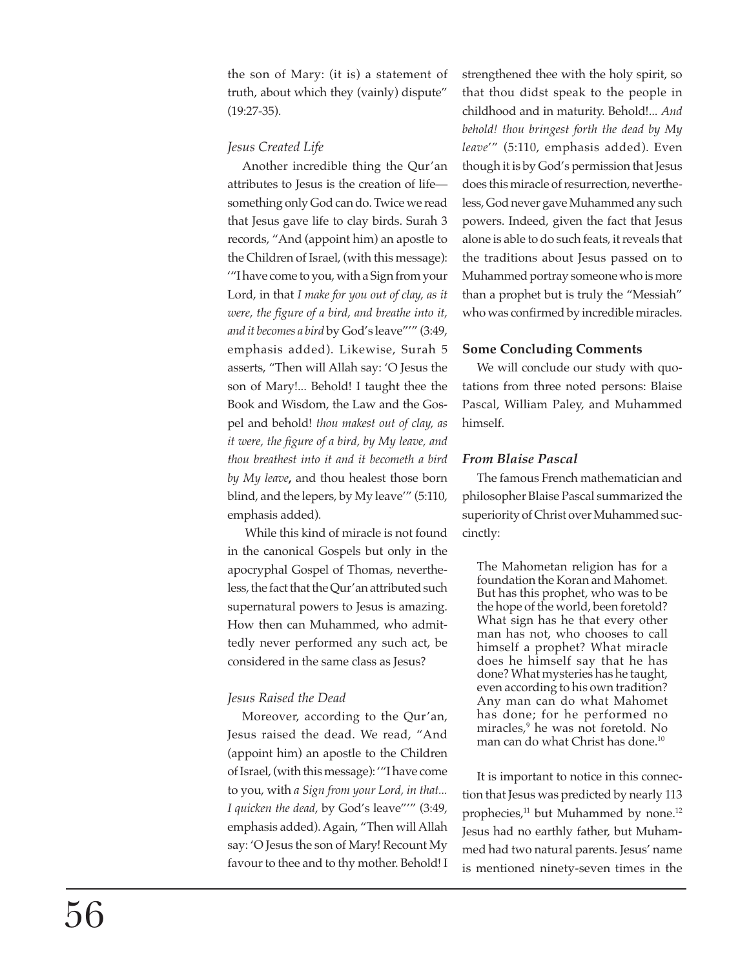the son of Mary: (it is) a statement of truth, about which they (vainly) dispute" (19:27-35).

## *Jesus Created Life*

Another incredible thing the Qur'an attributes to Jesus is the creation of life something only God can do. Twice we read that Jesus gave life to clay birds. Surah 3 records, "And (appoint him) an apostle to the Children of Israel, (with this message): '"I have come to you, with a Sign from your Lord, in that *I make for you out of clay, as it were, the figure of a bird, and breathe into it, and it becomes a bird* by God's leave"'" (3:49, emphasis added). Likewise, Surah 5 asserts, "Then will Allah say: 'O Jesus the son of Mary!... Behold! I taught thee the Book and Wisdom, the Law and the Gospel and behold! *thou makest out of clay, as it were, the figure of a bird, by My leave, and thou breathest into it and it becometh a bird by My leave***,** and thou healest those born blind, and the lepers, by My leave'" (5:110, emphasis added).

 While this kind of miracle is not found in the canonical Gospels but only in the apocryphal Gospel of Thomas, nevertheless, the fact that the Qur'an attributed such supernatural powers to Jesus is amazing. How then can Muhammed, who admittedly never performed any such act, be considered in the same class as Jesus?

# *Jesus Raised the Dead*

Moreover, according to the Qur'an, Jesus raised the dead. We read, "And (appoint him) an apostle to the Children of Israel, (with this message): '"I have come to you, with *a Sign from your Lord, in that... I quicken the dead*, by God's leave"'" (3:49, emphasis added). Again, "Then will Allah say: 'O Jesus the son of Mary! Recount My favour to thee and to thy mother. Behold! I strengthened thee with the holy spirit, so that thou didst speak to the people in childhood and in maturity. Behold!... *And behold! thou bringest forth the dead by My leave*'" (5:110, emphasis added). Even though it is by God's permission that Jesus does this miracle of resurrection, nevertheless, God never gave Muhammed any such powers. Indeed, given the fact that Jesus alone is able to do such feats, it reveals that the traditions about Jesus passed on to Muhammed portray someone who is more than a prophet but is truly the "Messiah" who was confirmed by incredible miracles.

## **Some Concluding Comments**

We will conclude our study with quotations from three noted persons: Blaise Pascal, William Paley, and Muhammed himself.

## *From Blaise Pascal*

The famous French mathematician and philosopher Blaise Pascal summarized the superiority of Christ over Muhammed succinctly:

The Mahometan religion has for a foundation the Koran and Mahomet. But has this prophet, who was to be the hope of the world, been foretold? What sign has he that every other man has not, who chooses to call himself a prophet? What miracle does he himself say that he has done? What mysteries has he taught, even according to his own tradition? Any man can do what Mahomet has done; for he performed no miracles,9 he was not foretold. No man can do what Christ has done.10

It is important to notice in this connection that Jesus was predicted by nearly 113 prophecies,<sup>11</sup> but Muhammed by none.<sup>12</sup> Jesus had no earthly father, but Muhammed had two natural parents. Jesus' name is mentioned ninety-seven times in the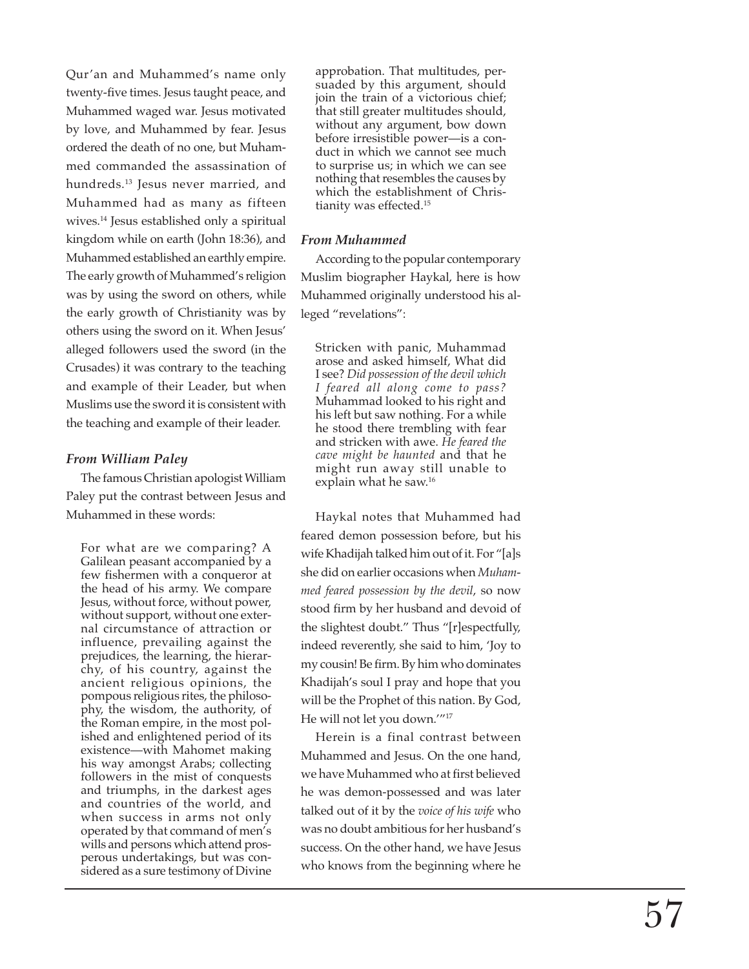Qur'an and Muhammed's name only twenty-five times. Jesus taught peace, and Muhammed waged war. Jesus motivated by love, and Muhammed by fear. Jesus ordered the death of no one, but Muhammed commanded the assassination of hundreds.<sup>13</sup> Jesus never married, and Muhammed had as many as fifteen wives.14 Jesus established only a spiritual kingdom while on earth (John 18:36), and Muhammed established an earthly empire. The early growth of Muhammed's religion was by using the sword on others, while the early growth of Christianity was by others using the sword on it. When Jesus' alleged followers used the sword (in the Crusades) it was contrary to the teaching and example of their Leader, but when Muslims use the sword it is consistent with the teaching and example of their leader.

#### *From William Paley*

The famous Christian apologist William Paley put the contrast between Jesus and Muhammed in these words:

For what are we comparing? A Galilean peasant accompanied by a few fishermen with a conqueror at the head of his army. We compare Jesus, without force, without power, without support, without one external circumstance of attraction or influence, prevailing against the prejudices, the learning, the hierarchy, of his country, against the ancient religious opinions, the pompous religious rites, the philosophy, the wisdom, the authority, of the Roman empire, in the most polished and enlightened period of its existence—with Mahomet making his way amongst Arabs; collecting followers in the mist of conquests and triumphs, in the darkest ages and countries of the world, and when success in arms not only operated by that command of men's wills and persons which attend prosperous undertakings, but was considered as a sure testimony of Divine

approbation. That multitudes, persuaded by this argument, should join the train of a victorious chief; that still greater multitudes should, without any argument, bow down before irresistible power—is a conduct in which we cannot see much to surprise us; in which we can see nothing that resembles the causes by which the establishment of Christianity was effected.15

#### *From Muhammed*

According to the popular contemporary Muslim biographer Haykal, here is how Muhammed originally understood his alleged "revelations":

Stricken with panic, Muhammad arose and asked himself, What did I see? *Did possession of the devil which I feared all along come to pass?* Muhammad looked to his right and his left but saw nothing. For a while he stood there trembling with fear and stricken with awe. *He feared the cave might be haunted* and that he might run away still unable to explain what he saw.<sup>16</sup>

Haykal notes that Muhammed had feared demon possession before, but his wife Khadijah talked him out of it. For "[a]s she did on earlier occasions when *Muhammed feared possession by the devil*, so now stood firm by her husband and devoid of the slightest doubt." Thus "[r]espectfully, indeed reverently, she said to him, 'Joy to my cousin! Be firm. By him who dominates Khadijah's soul I pray and hope that you will be the Prophet of this nation. By God, He will not let you down.'"17

Herein is a final contrast between Muhammed and Jesus. On the one hand, we have Muhammed who at first believed he was demon-possessed and was later talked out of it by the *voice of his wife* who was no doubt ambitious for her husband's success. On the other hand, we have Jesus who knows from the beginning where he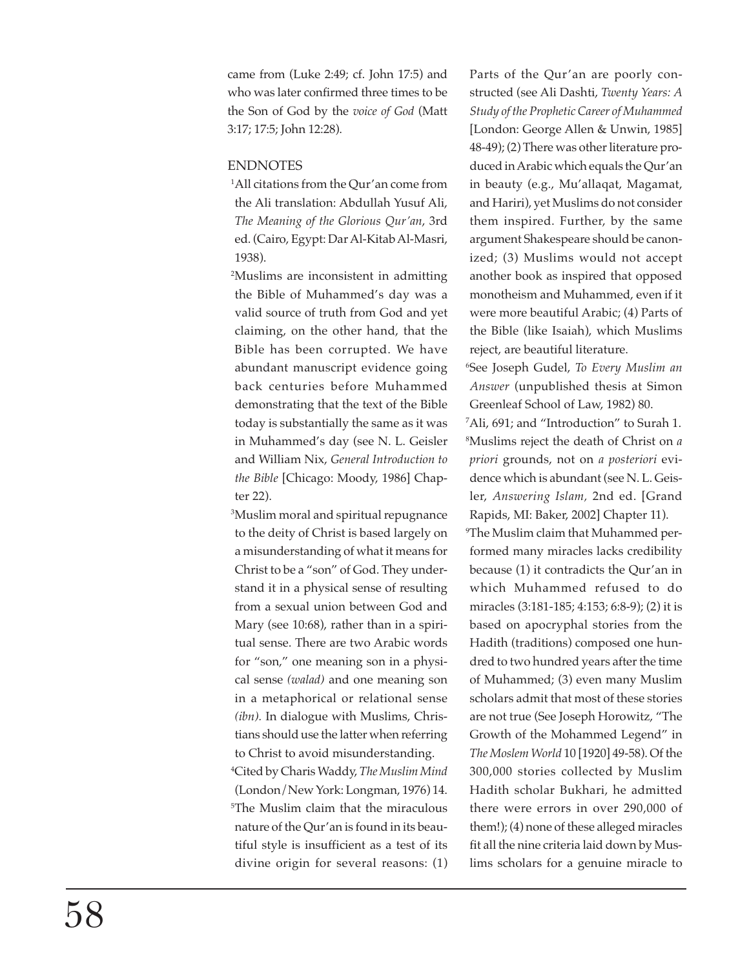came from (Luke 2:49; cf. John 17:5) and who was later confirmed three times to be the Son of God by the *voice of God* (Matt 3:17; 17:5; John 12:28).

## ENDNOTES

1 All citations from the Qur'an come from the Ali translation: Abdullah Yusuf Ali, *The Meaning of the Glorious Qur'an*, 3rd ed. (Cairo, Egypt: Dar Al-Kitab Al-Masri, 1938).

2 Muslims are inconsistent in admitting the Bible of Muhammed's day was a valid source of truth from God and yet claiming, on the other hand, that the Bible has been corrupted. We have abundant manuscript evidence going back centuries before Muhammed demonstrating that the text of the Bible today is substantially the same as it was in Muhammed's day (see N. L. Geisler and William Nix, *General Introduction to the Bible* [Chicago: Moody, 1986] Chapter 22).

3 Muslim moral and spiritual repugnance to the deity of Christ is based largely on a misunderstanding of what it means for Christ to be a "son" of God. They understand it in a physical sense of resulting from a sexual union between God and Mary (see 10:68), rather than in a spiritual sense. There are two Arabic words for "son," one meaning son in a physical sense *(walad)* and one meaning son in a metaphorical or relational sense *(ibn).* In dialogue with Muslims, Christians should use the latter when referring to Christ to avoid misunderstanding. 4 Cited by Charis Waddy, *The Muslim Mind* (London/New York: Longman, 1976) 14. 5 The Muslim claim that the miraculous nature of the Qur'an is found in its beautiful style is insufficient as a test of its divine origin for several reasons: (1) Parts of the Qur'an are poorly constructed (see Ali Dashti, *Twenty Years: A Study of the Prophetic Career of Muhammed* [London: George Allen & Unwin, 1985] 48-49); (2) There was other literature produced in Arabic which equals the Qur'an in beauty (e.g., Mu'allaqat, Magamat, and Hariri), yet Muslims do not consider them inspired. Further, by the same argument Shakespeare should be canonized; (3) Muslims would not accept another book as inspired that opposed monotheism and Muhammed, even if it were more beautiful Arabic; (4) Parts of the Bible (like Isaiah), which Muslims reject, are beautiful literature.

6 See Joseph Gudel, *To Every Muslim an Answer* (unpublished thesis at Simon Greenleaf School of Law, 1982) 80.

7 Ali, 691; and "Introduction" to Surah 1. 8 Muslims reject the death of Christ on *a priori* grounds, not on *a posteriori* evidence which is abundant (see N. L. Geisler, *Answering Islam,* 2nd ed. [Grand Rapids, MI: Baker, 2002] Chapter 11).

9 The Muslim claim that Muhammed performed many miracles lacks credibility because (1) it contradicts the Qur'an in which Muhammed refused to do miracles (3:181-185; 4:153; 6:8-9); (2) it is based on apocryphal stories from the Hadith (traditions) composed one hundred to two hundred years after the time of Muhammed; (3) even many Muslim scholars admit that most of these stories are not true (See Joseph Horowitz, "The Growth of the Mohammed Legend" in *The Moslem World* 10 [1920] 49-58). Of the 300,000 stories collected by Muslim Hadith scholar Bukhari, he admitted there were errors in over 290,000 of them!); (4) none of these alleged miracles fit all the nine criteria laid down by Muslims scholars for a genuine miracle to